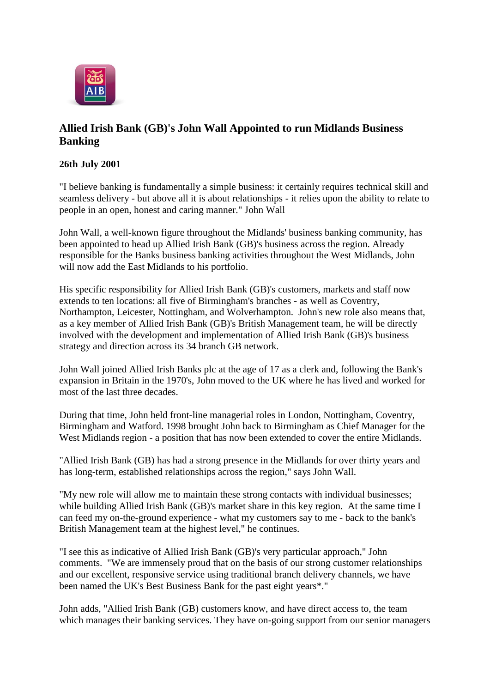

## **Allied Irish Bank (GB)'s John Wall Appointed to run Midlands Business Banking**

## **26th July 2001**

"I believe banking is fundamentally a simple business: it certainly requires technical skill and seamless delivery - but above all it is about relationships - it relies upon the ability to relate to people in an open, honest and caring manner." John Wall

John Wall, a well-known figure throughout the Midlands' business banking community, has been appointed to head up Allied Irish Bank (GB)'s business across the region. Already responsible for the Banks business banking activities throughout the West Midlands, John will now add the East Midlands to his portfolio.

His specific responsibility for Allied Irish Bank (GB)'s customers, markets and staff now extends to ten locations: all five of Birmingham's branches - as well as Coventry, Northampton, Leicester, Nottingham, and Wolverhampton. John's new role also means that, as a key member of Allied Irish Bank (GB)'s British Management team, he will be directly involved with the development and implementation of Allied Irish Bank (GB)'s business strategy and direction across its 34 branch GB network.

John Wall joined Allied Irish Banks plc at the age of 17 as a clerk and, following the Bank's expansion in Britain in the 1970's, John moved to the UK where he has lived and worked for most of the last three decades.

During that time, John held front-line managerial roles in London, Nottingham, Coventry, Birmingham and Watford. 1998 brought John back to Birmingham as Chief Manager for the West Midlands region - a position that has now been extended to cover the entire Midlands.

"Allied Irish Bank (GB) has had a strong presence in the Midlands for over thirty years and has long-term, established relationships across the region," says John Wall.

"My new role will allow me to maintain these strong contacts with individual businesses; while building Allied Irish Bank (GB)'s market share in this key region. At the same time I can feed my on-the-ground experience - what my customers say to me - back to the bank's British Management team at the highest level," he continues.

"I see this as indicative of Allied Irish Bank (GB)'s very particular approach," John comments. "We are immensely proud that on the basis of our strong customer relationships and our excellent, responsive service using traditional branch delivery channels, we have been named the UK's Best Business Bank for the past eight years\*."

John adds, "Allied Irish Bank (GB) customers know, and have direct access to, the team which manages their banking services. They have on-going support from our senior managers